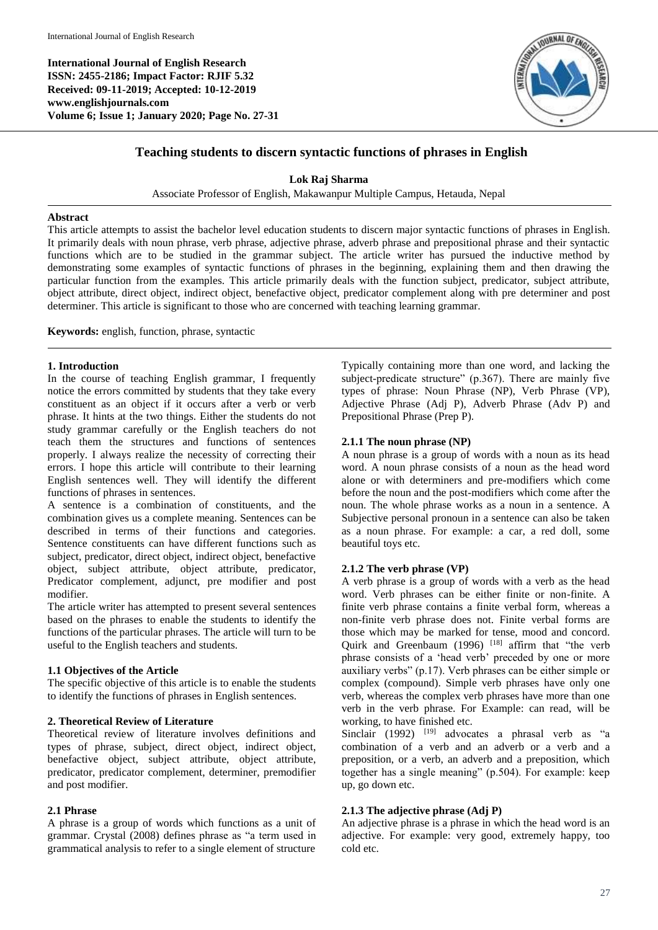**International Journal of English Research ISSN: 2455-2186; Impact Factor: RJIF 5.32 Received: 09-11-2019; Accepted: 10-12-2019 www.englishjournals.com Volume 6; Issue 1; January 2020; Page No. 27-31**



# **Teaching students to discern syntactic functions of phrases in English**

**Lok Raj Sharma**

Associate Professor of English, Makawanpur Multiple Campus, Hetauda, Nepal

### **Abstract**

This article attempts to assist the bachelor level education students to discern major syntactic functions of phrases in English. It primarily deals with noun phrase, verb phrase, adjective phrase, adverb phrase and prepositional phrase and their syntactic functions which are to be studied in the grammar subject. The article writer has pursued the inductive method by demonstrating some examples of syntactic functions of phrases in the beginning, explaining them and then drawing the particular function from the examples. This article primarily deals with the function subject, predicator, subject attribute, object attribute, direct object, indirect object, benefactive object, predicator complement along with pre determiner and post determiner. This article is significant to those who are concerned with teaching learning grammar.

**Keywords:** english, function, phrase, syntactic

#### **1. Introduction**

In the course of teaching English grammar, I frequently notice the errors committed by students that they take every constituent as an object if it occurs after a verb or verb phrase. It hints at the two things. Either the students do not study grammar carefully or the English teachers do not teach them the structures and functions of sentences properly. I always realize the necessity of correcting their errors. I hope this article will contribute to their learning English sentences well. They will identify the different functions of phrases in sentences.

A sentence is a combination of constituents, and the combination gives us a complete meaning. Sentences can be described in terms of their functions and categories. Sentence constituents can have different functions such as subject, predicator, direct object, indirect object, benefactive object, subject attribute, object attribute, predicator, Predicator complement, adjunct, pre modifier and post modifier.

The article writer has attempted to present several sentences based on the phrases to enable the students to identify the functions of the particular phrases. The article will turn to be useful to the English teachers and students.

## **1.1 Objectives of the Article**

The specific objective of this article is to enable the students to identify the functions of phrases in English sentences.

#### **2. Theoretical Review of Literature**

Theoretical review of literature involves definitions and types of phrase, subject, direct object, indirect object, benefactive object, subject attribute, object attribute, predicator, predicator complement, determiner, premodifier and post modifier.

## **2.1 Phrase**

A phrase is a group of words which functions as a unit of grammar. Crystal (2008) defines phrase as "a term used in grammatical analysis to refer to a single element of structure

Typically containing more than one word, and lacking the subject-predicate structure" (p.367). There are mainly five types of phrase: Noun Phrase (NP), Verb Phrase (VP), Adjective Phrase (Adj P), Adverb Phrase (Adv P) and Prepositional Phrase (Prep P).

#### **2.1.1 The noun phrase (NP)**

A noun phrase is a group of words with a noun as its head word. A noun phrase consists of a noun as the head word alone or with determiners and pre-modifiers which come before the noun and the post-modifiers which come after the noun. The whole phrase works as a noun in a sentence. A Subjective personal pronoun in a sentence can also be taken as a noun phrase. For example: a car, a red doll, some beautiful toys etc.

#### **2.1.2 The verb phrase (VP)**

A verb phrase is a group of words with a verb as the head word. Verb phrases can be either finite or non-finite. A finite verb phrase contains a finite verbal form, whereas a non-finite verb phrase does not. Finite verbal forms are those which may be marked for tense, mood and concord. Quirk and Greenbaum  $(1996)$ <sup>[18]</sup> affirm that "the verb phrase consists of a 'head verb' preceded by one or more auxiliary verbs" (p.17). Verb phrases can be either simple or complex (compound). Simple verb phrases have only one verb, whereas the complex verb phrases have more than one verb in the verb phrase. For Example: can read, will be working, to have finished etc.

Sinclair (1992) <sup>[19]</sup> advocates a phrasal verb as "a combination of a verb and an adverb or a verb and a preposition, or a verb, an adverb and a preposition, which together has a single meaning" (p.504). For example: keep up, go down etc.

## **2.1.3 The adjective phrase (Adj P)**

An adjective phrase is a phrase in which the head word is an adjective. For example: very good, extremely happy, too cold etc.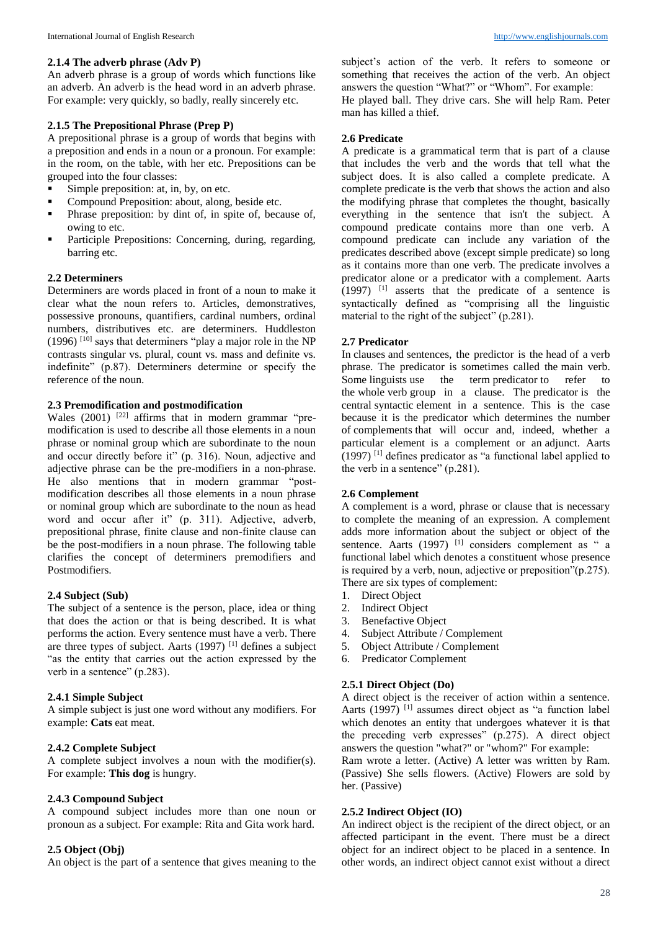An adverb phrase is a group of words which functions like an adverb. An adverb is the head word in an adverb phrase. For example: very quickly, so badly, really sincerely etc.

## **2.1.5 The Prepositional Phrase (Prep P)**

A prepositional phrase is a group of words that begins with a preposition and ends in a noun or a pronoun. For example: in the room, on the table, with her etc. Prepositions can be grouped into the four classes:

- Simple preposition: at, in, by, on etc.
- Compound Preposition: about, along, beside etc.<br>• Phrase preposition: by dint of in spite of beca
- Phrase preposition: by dint of, in spite of, because of, owing to etc.
- Participle Prepositions: Concerning, during, regarding, barring etc.

## **2.2 Determiners**

Determiners are words placed in front of a noun to make it clear what the noun refers to. Articles, demonstratives, possessive pronouns, quantifiers, cardinal numbers, ordinal numbers, distributives etc. are determiners. Huddleston (1996)  $^{[10]}$  says that determiners "play a major role in the NP contrasts singular vs. plural, count vs. mass and definite vs. indefinite" (p.87). Determiners determine or specify the reference of the noun.

# **2.3 Premodification and postmodification**

Wales  $(2001)$ <sup>[22]</sup> affirms that in modern grammar "premodification is used to describe all those elements in a noun phrase or nominal group which are subordinate to the noun and occur directly before it" (p. 316). Noun, adjective and adjective phrase can be the pre-modifiers in a non-phrase. He also mentions that in modern grammar "postmodification describes all those elements in a noun phrase or nominal group which are subordinate to the noun as head word and occur after it" (p. 311). Adjective, adverb, prepositional phrase, finite clause and non-finite clause can be the post-modifiers in a noun phrase. The following table clarifies the concept of determiners premodifiers and Postmodifiers.

### **2.4 Subject (Sub)**

The subject of a sentence is the person, place, idea or thing that does the action or that is being described. It is what performs the action. Every sentence must have a verb. There are three types of subject. Aarts (1997) <sup>[1]</sup> defines a subject "as the entity that carries out the action expressed by the verb in a sentence" (p.283).

## **2.4.1 Simple Subject**

A simple subject is just one word without any modifiers. For example: **Cats** eat meat.

## **2.4.2 Complete Subject**

A complete subject involves a noun with the modifier(s). For example: **This dog** is hungry.

### **2.4.3 Compound Subject**

A compound subject includes more than one noun or pronoun as a subject. For example: Rita and Gita work hard.

## **2.5 Object (Obj)**

An object is the part of a sentence that gives meaning to the

subject's action of the verb. It refers to someone or something that receives the action of the verb. An object answers the question "What?" or "Whom". For example: He played ball. They drive cars. She will help Ram. Peter

man has killed a thief.

## **2.6 Predicate**

A predicate is a grammatical term that is part of a clause that includes the verb and the words that tell what the subject does. It is also called a complete predicate. A complete predicate is the verb that shows the action and also the modifying phrase that completes the thought, basically everything in the sentence that isn't the subject. A compound predicate contains more than one verb. A compound predicate can include any variation of the predicates described above (except simple predicate) so long as it contains more than one verb. The predicate involves a predicator alone or a predicator with a complement. Aarts  $(1997)$  <sup>[1]</sup> asserts that the predicate of a sentence is syntactically defined as "comprising all the linguistic material to the right of the subject" (p.281).

## **2.7 Predicator**

In clauses and sentences, the predictor is the head of a verb phrase. The predicator is sometimes called the main verb.<br>Some linguists use the term predicator to refer to the term predicator to refer to the whole verb group in a clause. The predicator is the central syntactic element in a sentence. This is the case because it is the predicator which determines the number of complements that will occur and, indeed, whether a particular element is a complement or an adjunct. Aarts  $(1997)$ <sup>[1]</sup> defines predicator as "a functional label applied to the verb in a sentence" (p.281).

# **2.6 Complement**

A complement is a word, phrase or clause that is necessary to complete the meaning of an expression. A complement adds more information about the subject or object of the sentence. Aarts (1997) <sup>[1]</sup> considers complement as " a functional label which denotes a constituent whose presence is required by a verb, noun, adjective or preposition"(p.275). There are six types of complement:

- 1. Direct Object
- 2. Indirect Object
- 3. Benefactive Object
- 4. Subject Attribute / Complement
- 5. Object Attribute / Complement
- 6. Predicator Complement

## **2.5.1 Direct Object (Do)**

A direct object is the receiver of action within a sentence. Aarts (1997)<sup>[1]</sup> assumes direct object as "a function label which denotes an entity that undergoes whatever it is that the preceding verb expresses" (p.275). A direct object answers the question "what?" or "whom?" For example:

Ram wrote a letter. (Active) A letter was written by Ram. (Passive) She sells flowers. (Active) Flowers are sold by her. (Passive)

### **2.5.2 Indirect Object (IO)**

An indirect object is the recipient of the direct object, or an affected participant in the event. There must be a direct object for an indirect object to be placed in a sentence. In other words, an indirect object cannot exist without a direct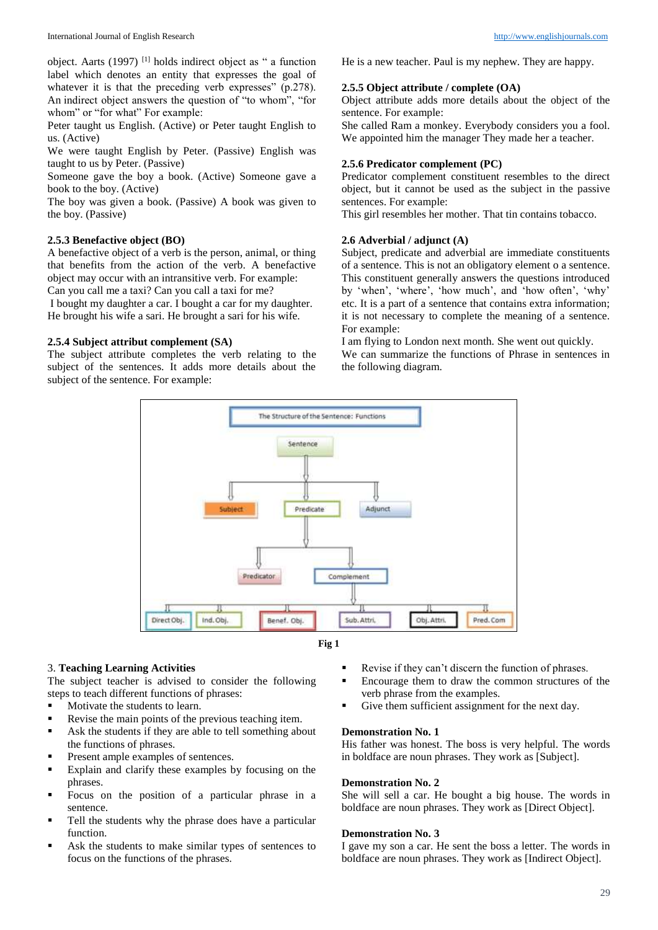object. Aarts (1997) [1] holds indirect object as " a function label which denotes an entity that expresses the goal of whatever it is that the preceding verb expresses" (p.278). An indirect object answers the question of "to whom", "for whom" or "for what" For example:

Peter taught us English. (Active) or Peter taught English to us. (Active)

We were taught English by Peter. (Passive) English was taught to us by Peter. (Passive)

Someone gave the boy a book. (Active) Someone gave a book to the boy. (Active)

The boy was given a book. (Passive) A book was given to the boy. (Passive)

## **2.5.3 Benefactive object (BO)**

A benefactive object of a verb is the person, animal, or thing that benefits from the action of the verb. A benefactive object may occur with an intransitive verb. For example:

Can you call me a taxi? Can you call a taxi for me?

I bought my daughter a car. I bought a car for my daughter. He brought his wife a sari. He brought a sari for his wife.

## **2.5.4 Subject attribut complement (SA)**

The subject attribute completes the verb relating to the subject of the sentences. It adds more details about the subject of the sentence. For example:

He is a new teacher. Paul is my nephew. They are happy.

## **2.5.5 Object attribute / complete (OA)**

Object attribute adds more details about the object of the sentence. For example:

She called Ram a monkey. Everybody considers you a fool. We appointed him the manager They made her a teacher.

## **2.5.6 Predicator complement (PC)**

Predicator complement constituent resembles to the direct object, but it cannot be used as the subject in the passive sentences. For example:

This girl resembles her mother. That tin contains tobacco.

## **2.6 Adverbial / adjunct (A)**

Subject, predicate and adverbial are immediate constituents of a sentence. This is not an obligatory element o a sentence. This constituent generally answers the questions introduced by 'when', 'where', 'how much', and 'how often', 'why' etc. It is a part of a sentence that contains extra information; it is not necessary to complete the meaning of a sentence. For example:

I am flying to London next month. She went out quickly.

We can summarize the functions of Phrase in sentences in the following diagram.





# 3. **Teaching Learning Activities**

The subject teacher is advised to consider the following steps to teach different functions of phrases:

- Motivate the students to learn.
- Revise the main points of the previous teaching item.
- Ask the students if they are able to tell something about the functions of phrases.
- **Present ample examples of sentences.**
- Explain and clarify these examples by focusing on the phrases.
- Focus on the position of a particular phrase in a sentence.
- Tell the students why the phrase does have a particular function.
- Ask the students to make similar types of sentences to focus on the functions of the phrases.
- Revise if they can't discern the function of phrases.
- Encourage them to draw the common structures of the verb phrase from the examples.
- Give them sufficient assignment for the next day.

# **Demonstration No. 1**

His father was honest. The boss is very helpful. The words in boldface are noun phrases. They work as [Subject].

#### **Demonstration No. 2**

She will sell a car. He bought a big house. The words in boldface are noun phrases. They work as [Direct Object].

### **Demonstration No. 3**

I gave my son a car. He sent the boss a letter. The words in boldface are noun phrases. They work as [Indirect Object].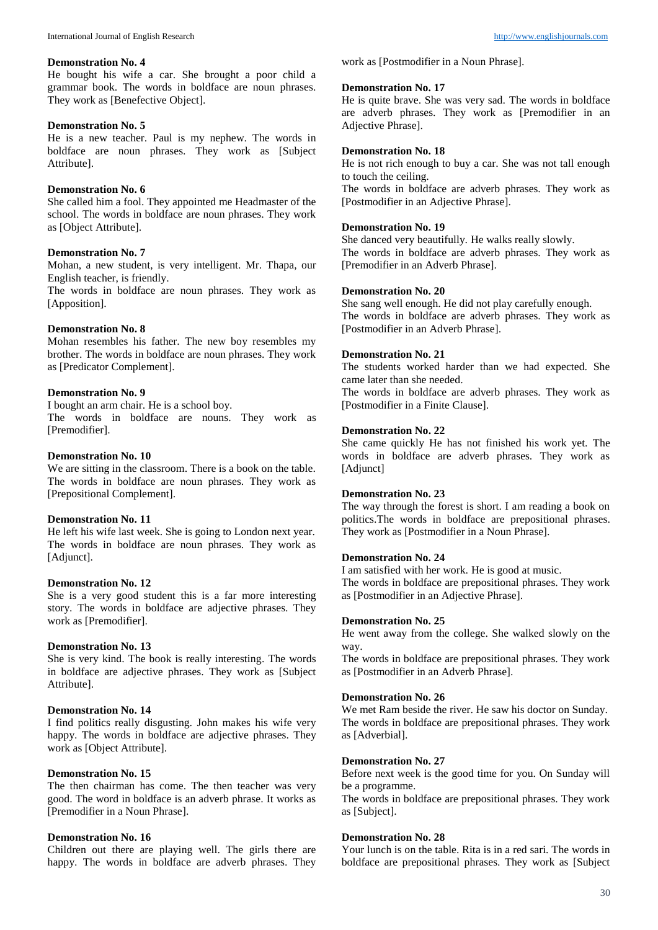#### **Demonstration No. 4**

He bought his wife a car. She brought a poor child a grammar book. The words in boldface are noun phrases. They work as [Benefective Object].

## **Demonstration No. 5**

He is a new teacher. Paul is my nephew. The words in boldface are noun phrases. They work as [Subject Attribute].

## **Demonstration No. 6**

She called him a fool. They appointed me Headmaster of the school. The words in boldface are noun phrases. They work as [Object Attribute].

#### **Demonstration No. 7**

Mohan, a new student, is very intelligent. Mr. Thapa, our English teacher, is friendly.

The words in boldface are noun phrases. They work as [Apposition].

## **Demonstration No. 8**

Mohan resembles his father. The new boy resembles my brother. The words in boldface are noun phrases. They work as [Predicator Complement].

# **Demonstration No. 9**

I bought an arm chair. He is a school boy. The words in boldface are nouns. They work as [Premodifier].

## **Demonstration No. 10**

We are sitting in the classroom. There is a book on the table. The words in boldface are noun phrases. They work as [Prepositional Complement].

### **Demonstration No. 11**

He left his wife last week. She is going to London next year. The words in boldface are noun phrases. They work as [Adjunct].

### **Demonstration No. 12**

She is a very good student this is a far more interesting story. The words in boldface are adjective phrases. They work as [Premodifier].

### **Demonstration No. 13**

She is very kind. The book is really interesting. The words in boldface are adjective phrases. They work as [Subject Attribute].

## **Demonstration No. 14**

I find politics really disgusting. John makes his wife very happy. The words in boldface are adjective phrases. They work as [Object Attribute].

## **Demonstration No. 15**

The then chairman has come. The then teacher was very good. The word in boldface is an adverb phrase. It works as [Premodifier in a Noun Phrase].

### **Demonstration No. 16**

Children out there are playing well. The girls there are happy. The words in boldface are adverb phrases. They work as [Postmodifier in a Noun Phrase].

#### **Demonstration No. 17**

He is quite brave. She was very sad. The words in boldface are adverb phrases. They work as [Premodifier in an Adjective Phrase].

### **Demonstration No. 18**

He is not rich enough to buy a car. She was not tall enough to touch the ceiling.

The words in boldface are adverb phrases. They work as [Postmodifier in an Adjective Phrase].

## **Demonstration No. 19**

She danced very beautifully. He walks really slowly. The words in boldface are adverb phrases. They work as [Premodifier in an Adverb Phrase].

#### **Demonstration No. 20**

She sang well enough. He did not play carefully enough. The words in boldface are adverb phrases. They work as [Postmodifier in an Adverb Phrase].

## **Demonstration No. 21**

The students worked harder than we had expected. She came later than she needed.

The words in boldface are adverb phrases. They work as [Postmodifier in a Finite Clause].

#### **Demonstration No. 22**

She came quickly He has not finished his work yet. The words in boldface are adverb phrases. They work as [Adjunct]

## **Demonstration No. 23**

The way through the forest is short. I am reading a book on politics.The words in boldface are prepositional phrases. They work as [Postmodifier in a Noun Phrase].

### **Demonstration No. 24**

I am satisfied with her work. He is good at music. The words in boldface are prepositional phrases. They work as [Postmodifier in an Adjective Phrase].

#### **Demonstration No. 25**

He went away from the college. She walked slowly on the way.

The words in boldface are prepositional phrases. They work as [Postmodifier in an Adverb Phrase].

## **Demonstration No. 26**

We met Ram beside the river. He saw his doctor on Sunday. The words in boldface are prepositional phrases. They work as [Adverbial].

### **Demonstration No. 27**

Before next week is the good time for you. On Sunday will be a programme.

The words in boldface are prepositional phrases. They work as [Subject].

#### **Demonstration No. 28**

Your lunch is on the table. Rita is in a red sari. The words in boldface are prepositional phrases. They work as [Subject